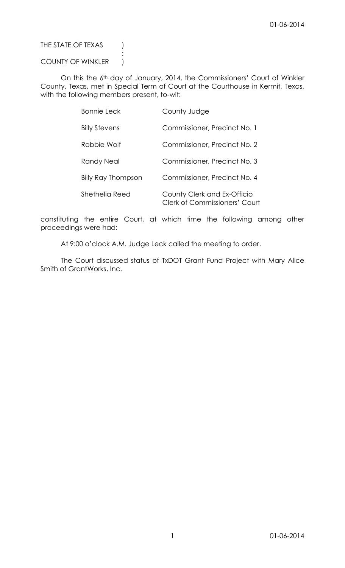THE STATE OF TEXAS )

## COUNTY OF WINKLER |

:

On this the 6th day of January, 2014, the Commissioners' Court of Winkler County, Texas, met in Special Term of Court at the Courthouse in Kermit, Texas, with the following members present, to-wit:

| <b>Bonnie Leck</b>   | County Judge                                                        |
|----------------------|---------------------------------------------------------------------|
| <b>Billy Stevens</b> | Commissioner, Precinct No. 1                                        |
| Robbie Wolf          | Commissioner, Precinct No. 2                                        |
| Randy Neal           | Commissioner, Precinct No. 3                                        |
| Billy Ray Thompson   | Commissioner, Precinct No. 4                                        |
| Shethelia Reed       | County Clerk and Ex-Officio<br><b>Clerk of Commissioners' Court</b> |

constituting the entire Court, at which time the following among other proceedings were had:

At 9:00 o'clock A.M. Judge Leck called the meeting to order.

The Court discussed status of TxDOT Grant Fund Project with Mary Alice Smith of GrantWorks, Inc.